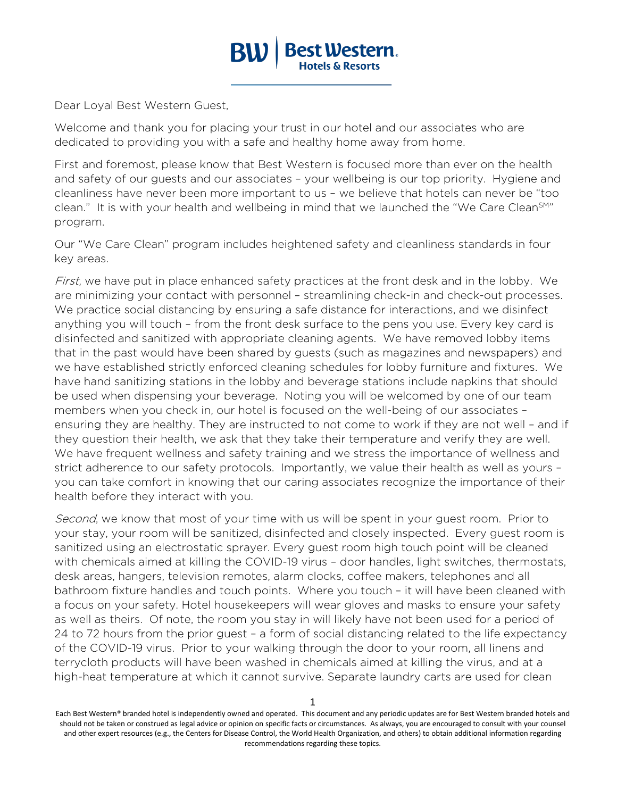

Dear Loyal Best Western Guest,

Welcome and thank you for placing your trust in our hotel and our associates who are dedicated to providing you with a safe and healthy home away from home.

First and foremost, please know that Best Western is focused more than ever on the health and safety of our guests and our associates – your wellbeing is our top priority. Hygiene and cleanliness have never been more important to us – we believe that hotels can never be "too clean." It is with your health and wellbeing in mind that we launched the "We Care Clean<sup>SM</sup>" program.

Our "We Care Clean" program includes heightened safety and cleanliness standards in four key areas.

First, we have put in place enhanced safety practices at the front desk and in the lobby. We are minimizing your contact with personnel – streamlining check-in and check-out processes. We practice social distancing by ensuring a safe distance for interactions, and we disinfect anything you will touch – from the front desk surface to the pens you use. Every key card is disinfected and sanitized with appropriate cleaning agents. We have removed lobby items that in the past would have been shared by guests (such as magazines and newspapers) and we have established strictly enforced cleaning schedules for lobby furniture and fixtures. We have hand sanitizing stations in the lobby and beverage stations include napkins that should be used when dispensing your beverage. Noting you will be welcomed by one of our team members when you check in, our hotel is focused on the well-being of our associates – ensuring they are healthy. They are instructed to not come to work if they are not well – and if they question their health, we ask that they take their temperature and verify they are well. We have frequent wellness and safety training and we stress the importance of wellness and strict adherence to our safety protocols. Importantly, we value their health as well as yours – you can take comfort in knowing that our caring associates recognize the importance of their health before they interact with you.

Second, we know that most of your time with us will be spent in your guest room. Prior to your stay, your room will be sanitized, disinfected and closely inspected. Every guest room is sanitized using an electrostatic sprayer. Every guest room high touch point will be cleaned with chemicals aimed at killing the COVID-19 virus – door handles, light switches, thermostats, desk areas, hangers, television remotes, alarm clocks, coffee makers, telephones and all bathroom fixture handles and touch points. Where you touch – it will have been cleaned with a focus on your safety. Hotel housekeepers will wear gloves and masks to ensure your safety as well as theirs. Of note, the room you stay in will likely have not been used for a period of 24 to 72 hours from the prior guest – a form of social distancing related to the life expectancy of the COVID-19 virus. Prior to your walking through the door to your room, all linens and terrycloth products will have been washed in chemicals aimed at killing the virus, and at a high-heat temperature at which it cannot survive. Separate laundry carts are used for clean

Each Best Western® branded hotel is independently owned and operated. This document and any periodic updates are for Best Western branded hotels and should not be taken or construed as legal advice or opinion on specific facts or circumstances. As always, you are encouraged to consult with your counsel and other expert resources (e.g., the Centers for Disease Control, the World Health Organization, and others) to obtain additional information regarding recommendations regarding these topics.